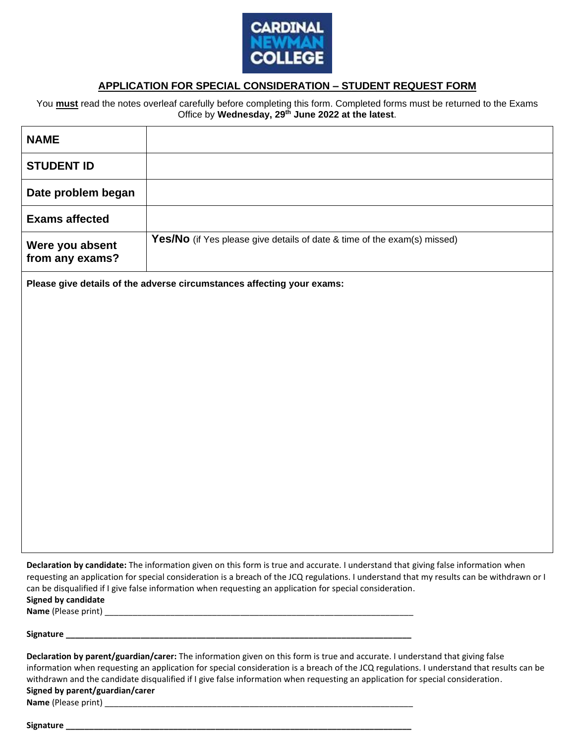

# **APPLICATION FOR SPECIAL CONSIDERATION – STUDENT REQUEST FORM**

You **must** read the notes overleaf carefully before completing this form. Completed forms must be returned to the Exams Office by **Wednesday, 29 th June 2022 at the latest**.

| <b>NAME</b>                                                            |                                                                          |
|------------------------------------------------------------------------|--------------------------------------------------------------------------|
| <b>STUDENT ID</b>                                                      |                                                                          |
| Date problem began                                                     |                                                                          |
| <b>Exams affected</b>                                                  |                                                                          |
| Were you absent<br>from any exams?                                     | Yes/No (if Yes please give details of date & time of the exam(s) missed) |
| Please give details of the adverse circumstances affecting your exams: |                                                                          |
|                                                                        |                                                                          |
|                                                                        |                                                                          |
|                                                                        |                                                                          |
|                                                                        |                                                                          |
|                                                                        |                                                                          |
|                                                                        |                                                                          |
|                                                                        |                                                                          |

**Declaration by candidate:** The information given on this form is true and accurate. I understand that giving false information when requesting an application for special consideration is a breach of the JCQ regulations. I understand that my results can be withdrawn or I can be disqualified if I give false information when requesting an application for special consideration. **Signed by candidate**

**Name** (Please print) \_\_\_\_\_\_\_\_\_\_\_\_\_\_\_\_\_\_\_\_\_\_\_\_\_\_\_\_\_\_\_\_\_\_\_\_\_\_\_\_\_\_\_\_\_\_\_\_\_\_\_\_\_\_\_\_\_\_\_\_\_\_\_\_\_\_

**Signature \_\_\_\_\_\_\_\_\_\_\_\_\_\_\_\_\_\_\_\_\_\_\_\_\_\_\_\_\_\_\_\_\_\_\_\_\_\_\_\_\_\_\_\_\_\_\_\_\_\_\_\_\_\_\_\_\_\_\_\_\_\_\_\_\_\_\_\_\_\_\_\_\_\_**

**Declaration by parent/guardian/carer:** The information given on this form is true and accurate. I understand that giving false information when requesting an application for special consideration is a breach of the JCQ regulations. I understand that results can be withdrawn and the candidate disqualified if I give false information when requesting an application for special consideration. **Signed by parent/guardian/carer Name** (Please print) \_\_\_\_\_\_\_\_\_\_\_\_\_\_\_\_\_\_\_\_\_\_\_\_\_\_\_\_\_\_\_\_\_\_\_\_\_\_\_\_\_\_\_\_\_\_\_\_\_\_\_\_\_\_\_\_\_\_\_\_\_\_\_\_\_\_

**Signature \_\_\_\_\_\_\_\_\_\_\_\_\_\_\_\_\_\_\_\_\_\_\_\_\_\_\_\_\_\_\_\_\_\_\_\_\_\_\_\_\_\_\_\_\_\_\_\_\_\_\_\_\_\_\_\_\_\_\_\_\_\_\_\_\_\_\_\_\_\_\_\_\_\_**